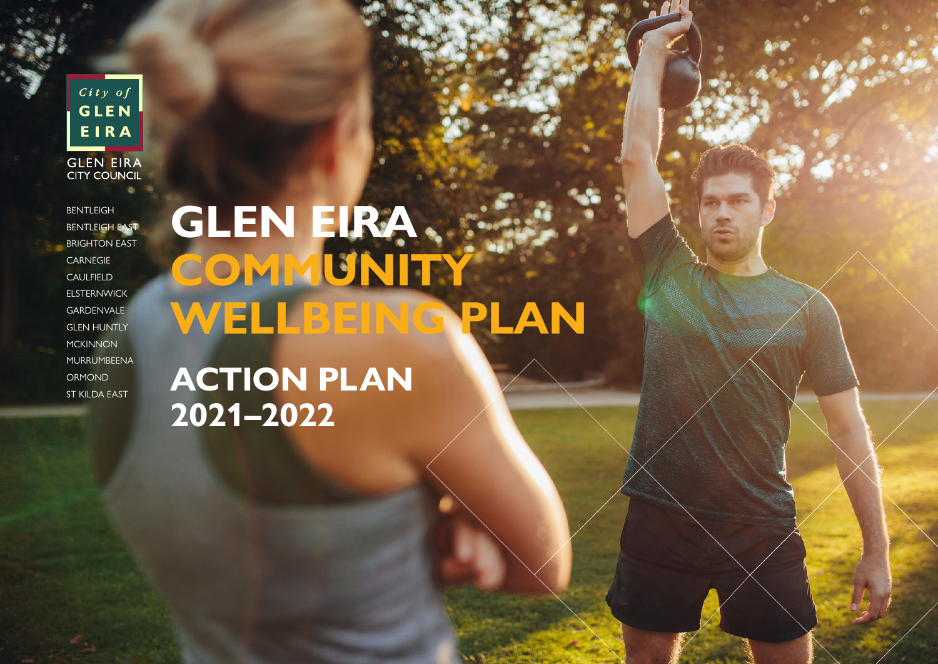**GLEN** EIRA **GLEN EIRA**<br>CITY COUNCIL

 $City of$ 

**BENTLEIGH** BENTLEIGH EAST BRIGHTON EAST **CARNEGIE** CAULFIELD ELSTERNWICK GARDENVALE GLEN HUNTLY **MCKINNON** MURRUMBEENA ORMOND ST KILDA EAST

**GLEN EIRA COMMUNITY WELLBEING PLAN**

**ACTION PLAN 2021–2022**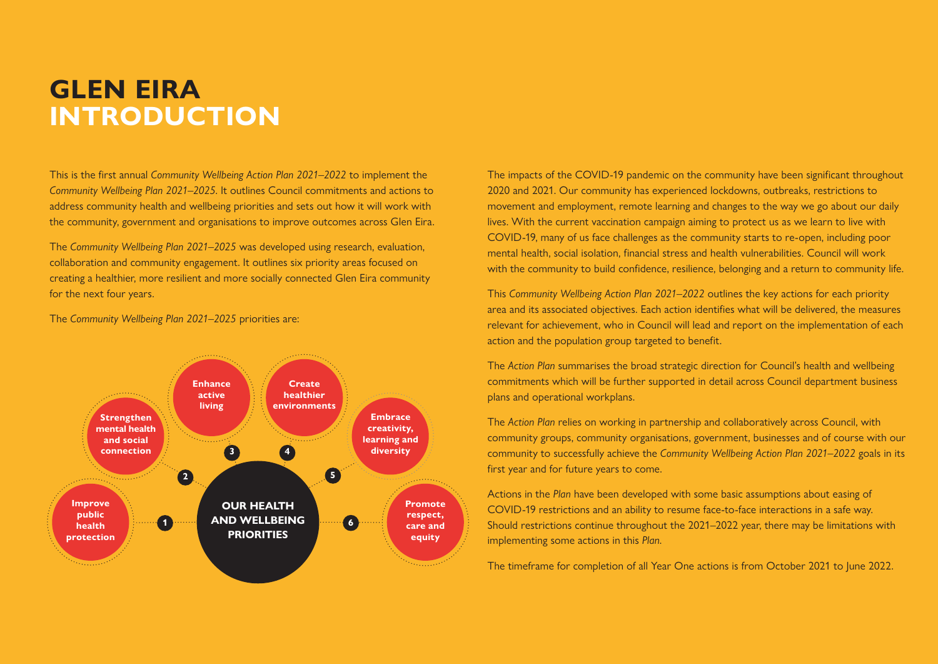#### **GLEN EIRA INTRODUCTION**

This is the first annual *Community Wellbeing Action Plan 2021–2022* to implement the *Community Wellbeing Plan 2021–2025*. It outlines Council commitments and actions to address community health and wellbeing priorities and sets out how it will work with the community, government and organisations to improve outcomes across Glen Eira.

The *Community Wellbeing Plan 2021–2025* was developed using research, evaluation, collaboration and community engagement. It outlines six priority areas focused on creating a healthier, more resilient and more socially connected Glen Eira community for the next four years.

The *Community Wellbeing Plan 2021–2025* priorities are:



The impacts of the COVID-19 pandemic on the community have been significant throughout 2020 and 2021. Our community has experienced lockdowns, outbreaks, restrictions to movement and employment, remote learning and changes to the way we go about our daily lives. With the current vaccination campaign aiming to protect us as we learn to live with COVID-19, many of us face challenges as the community starts to re-open, including poor mental health, social isolation, financial stress and health vulnerabilities. Council will work with the community to build confidence, resilience, belonging and a return to community life.

This *Community Wellbeing Action Plan 2021–2022* outlines the key actions for each priority area and its associated objectives. Each action identifies what will be delivered, the measures relevant for achievement, who in Council will lead and report on the implementation of each action and the population group targeted to benefit.

The *Action Plan* summarises the broad strategic direction for Council's health and wellbeing commitments which will be further supported in detail across Council department business plans and operational workplans.

The *Action Plan* relies on working in partnership and collaboratively across Council, with community groups, community organisations, government, businesses and of course with our community to successfully achieve the *Community Wellbeing Action Plan 2021–2022* goals in its first year and for future years to come.

Actions in the *Plan* have been developed with some basic assumptions about easing of COVID-19 restrictions and an ability to resume face-to-face interactions in a safe way. Should restrictions continue throughout the 2021–2022 year, there may be limitations with implementing some actions in this *Plan*.

The timeframe for completion of all Year One actions is from October 2021 to June 2022.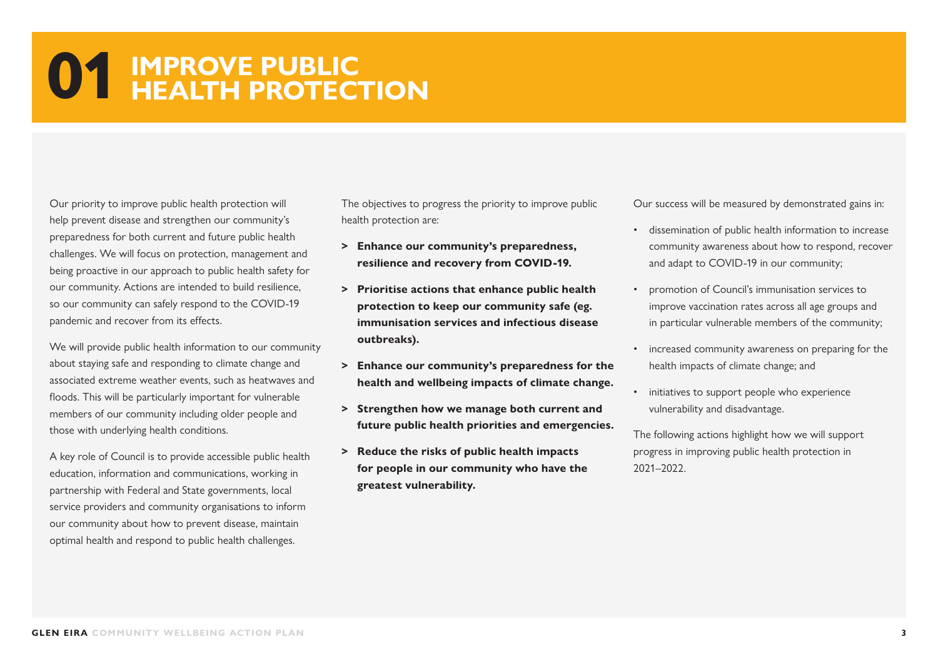#### **01 IMPROVE PUBLIC HEALTH PROTECTION**

Our priority to improve public health protection will help prevent disease and strengthen our community's preparedness for both current and future public health challenges. We will focus on protection, management and being proactive in our approach to public health safety for our community. Actions are intended to build resilience, so our community can safely respond to the COVID-19 pandemic and recover from its effects.

We will provide public health information to our community about staying safe and responding to climate change and associated extreme weather events, such as heatwaves and floods. This will be particularly important for vulnerable members of our community including older people and those with underlying health conditions.

A key role of Council is to provide accessible public health education, information and communications, working in partnership with Federal and State governments, local service providers and community organisations to inform our community about how to prevent disease, maintain optimal health and respond to public health challenges.

The objectives to progress the priority to improve public health protection are:

- **> Enhance our community's preparedness, resilience and recovery from COVID-19.**
- **> Prioritise actions that enhance public health protection to keep our community safe (eg. immunisation services and infectious disease outbreaks).**
- **> Enhance our community's preparedness for the health and wellbeing impacts of climate change.**
- **> Strengthen how we manage both current and future public health priorities and emergencies.**
- **> Reduce the risks of public health impacts for people in our community who have the greatest vulnerability.**

Our success will be measured by demonstrated gains in:

- dissemination of public health information to increase community awareness about how to respond, recover and adapt to COVID-19 in our community;
- promotion of Council's immunisation services to improve vaccination rates across all age groups and in particular vulnerable members of the community;
- increased community awareness on preparing for the health impacts of climate change; and
- initiatives to support people who experience vulnerability and disadvantage.

The following actions highlight how we will support progress in improving public health protection in 2021–2022.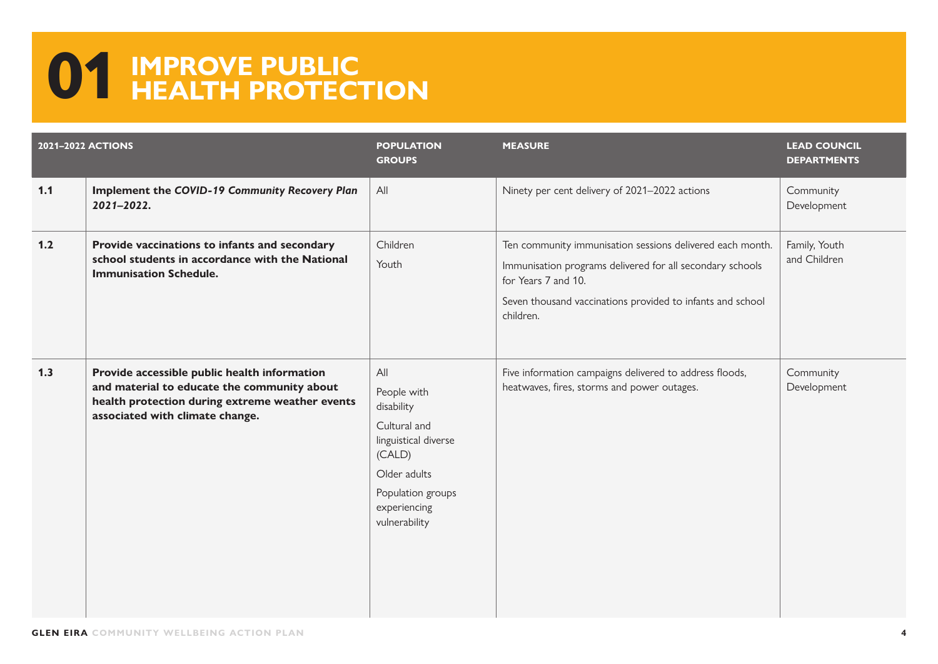### **01 IMPROVE PUBLIC HEALTH PROTECTION**

|       | <b>2021-2022 ACTIONS</b>                                                                                                                                                          | <b>POPULATION</b><br><b>GROUPS</b>                                                                                                                       | <b>MEASURE</b>                                                                                                                                                                                                           | <b>LEAD COUNCIL</b><br><b>DEPARTMENTS</b> |
|-------|-----------------------------------------------------------------------------------------------------------------------------------------------------------------------------------|----------------------------------------------------------------------------------------------------------------------------------------------------------|--------------------------------------------------------------------------------------------------------------------------------------------------------------------------------------------------------------------------|-------------------------------------------|
| 1.1   | Implement the COVID-19 Community Recovery Plan<br>2021-2022.                                                                                                                      | All                                                                                                                                                      | Ninety per cent delivery of 2021-2022 actions                                                                                                                                                                            | Community<br>Development                  |
| $1.2$ | Provide vaccinations to infants and secondary<br>school students in accordance with the National<br><b>Immunisation Schedule.</b>                                                 | Children<br>Youth                                                                                                                                        | Ten community immunisation sessions delivered each month.<br>Immunisation programs delivered for all secondary schools<br>for Years 7 and 10.<br>Seven thousand vaccinations provided to infants and school<br>children. | Family, Youth<br>and Children             |
| 1.3   | Provide accessible public health information<br>and material to educate the community about<br>health protection during extreme weather events<br>associated with climate change. | All<br>People with<br>disability<br>Cultural and<br>linguistical diverse<br>(CALD)<br>Older adults<br>Population groups<br>experiencing<br>vulnerability | Five information campaigns delivered to address floods,<br>heatwaves, fires, storms and power outages.                                                                                                                   | Community<br>Development                  |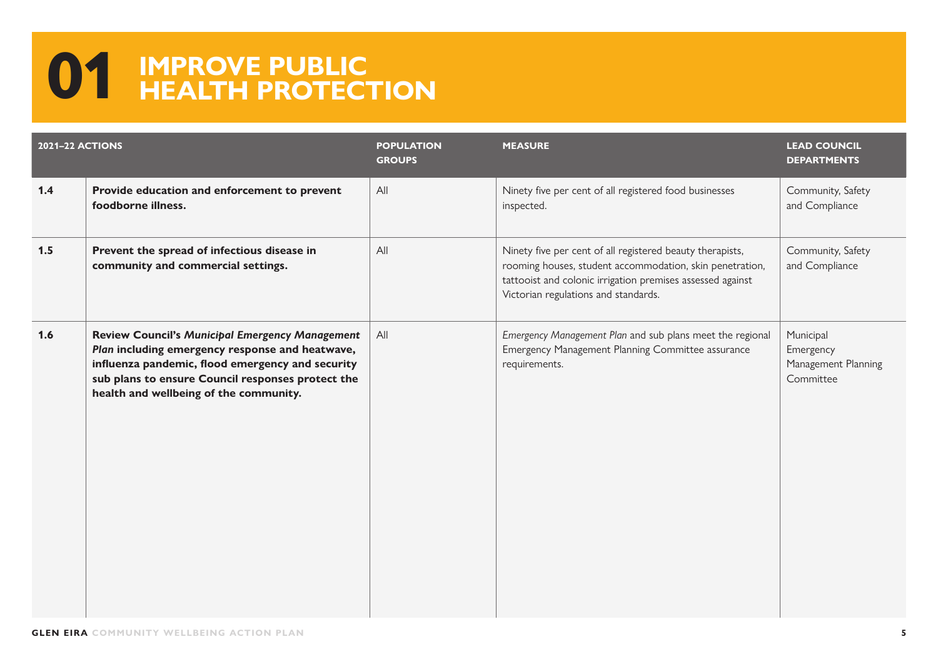### **01 IMPROVE PUBLIC HEALTH PROTECTION**

| <b>2021-22 ACTIONS</b> |                                                                                                                                                                                                                                                              | <b>POPULATION</b><br><b>GROUPS</b> | <b>MEASURE</b>                                                                                                                                                                                                              | <b>LEAD COUNCIL</b><br><b>DEPARTMENTS</b>                  |
|------------------------|--------------------------------------------------------------------------------------------------------------------------------------------------------------------------------------------------------------------------------------------------------------|------------------------------------|-----------------------------------------------------------------------------------------------------------------------------------------------------------------------------------------------------------------------------|------------------------------------------------------------|
| 1.4                    | Provide education and enforcement to prevent<br>foodborne illness.                                                                                                                                                                                           | All                                | Ninety five per cent of all registered food businesses<br>inspected.                                                                                                                                                        | Community, Safety<br>and Compliance                        |
| 1.5                    | Prevent the spread of infectious disease in<br>community and commercial settings.                                                                                                                                                                            | All                                | Ninety five per cent of all registered beauty therapists,<br>rooming houses, student accommodation, skin penetration,<br>tattooist and colonic irrigation premises assessed against<br>Victorian regulations and standards. | Community, Safety<br>and Compliance                        |
| 1.6                    | <b>Review Council's Municipal Emergency Management</b><br>Plan including emergency response and heatwave,<br>influenza pandemic, flood emergency and security<br>sub plans to ensure Council responses protect the<br>health and wellbeing of the community. | All                                | Emergency Management Plan and sub plans meet the regional<br>Emergency Management Planning Committee assurance<br>requirements.                                                                                             | Municipal<br>Emergency<br>Management Planning<br>Committee |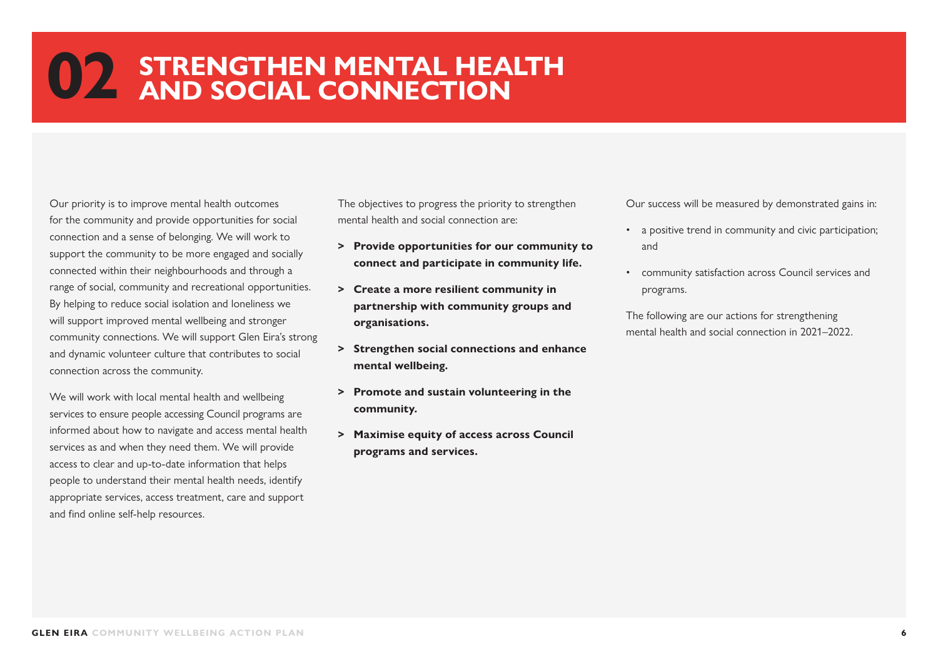Our priority is to improve mental health outcomes for the community and provide opportunities for social connection and a sense of belonging. We will work to support the community to be more engaged and socially connected within their neighbourhoods and through a range of social, community and recreational opportunities. By helping to reduce social isolation and loneliness we will support improved mental wellbeing and stronger community connections. We will support Glen Eira's strong and dynamic volunteer culture that contributes to social connection across the community.

We will work with local mental health and wellbeing services to ensure people accessing Council programs are informed about how to navigate and access mental health services as and when they need them. We will provide access to clear and up-to-date information that helps people to understand their mental health needs, identify appropriate services, access treatment, care and support and find online self-help resources.

The objectives to progress the priority to strengthen mental health and social connection are:

- **> Provide opportunities for our community to connect and participate in community life.**
- **> Create a more resilient community in partnership with community groups and organisations.**
- **> Strengthen social connections and enhance mental wellbeing.**
- **> Promote and sustain volunteering in the community.**
- **> Maximise equity of access across Council programs and services.**

Our success will be measured by demonstrated gains in:

- a positive trend in community and civic participation; and
- community satisfaction across Council services and programs.

The following are our actions for strengthening mental health and social connection in 2021–2022.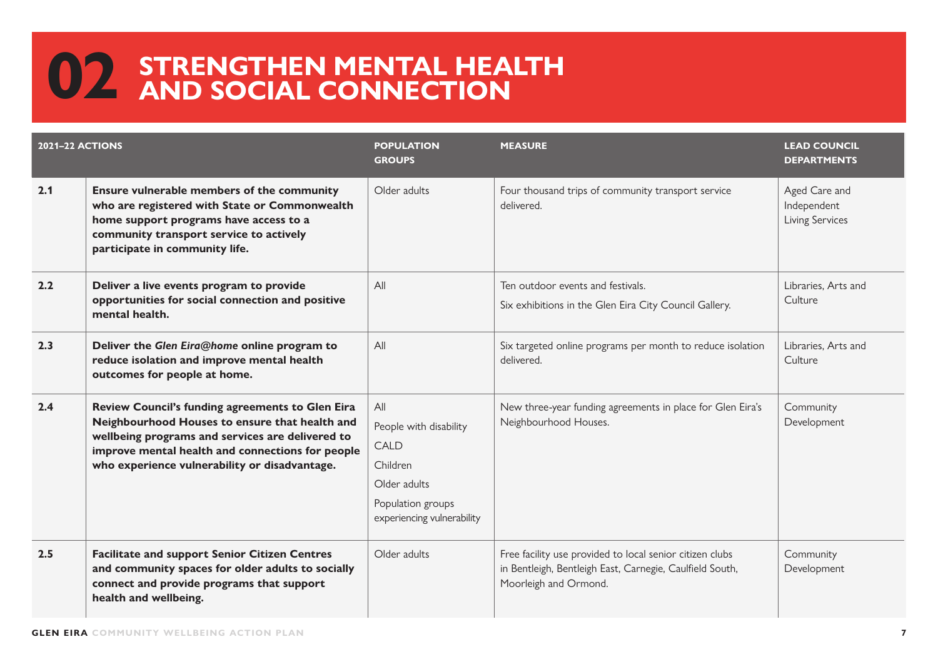| <b>2021-22 ACTIONS</b> |                                                                                                                                                                                                                                                             | <b>POPULATION</b><br><b>GROUPS</b>                                                                                   | <b>MEASURE</b>                                                                                                                                | <b>LEAD COUNCIL</b><br><b>DEPARTMENTS</b>       |
|------------------------|-------------------------------------------------------------------------------------------------------------------------------------------------------------------------------------------------------------------------------------------------------------|----------------------------------------------------------------------------------------------------------------------|-----------------------------------------------------------------------------------------------------------------------------------------------|-------------------------------------------------|
| 2.1                    | Ensure vulnerable members of the community<br>who are registered with State or Commonwealth<br>home support programs have access to a<br>community transport service to actively<br>participate in community life.                                          | Older adults                                                                                                         | Four thousand trips of community transport service<br>delivered.                                                                              | Aged Care and<br>Independent<br>Living Services |
| 2.2                    | Deliver a live events program to provide<br>opportunities for social connection and positive<br>mental health.                                                                                                                                              | All                                                                                                                  | Ten outdoor events and festivals.<br>Six exhibitions in the Glen Eira City Council Gallery.                                                   | Libraries, Arts and<br>Culture                  |
| 2.3                    | Deliver the Glen Eira@home online program to<br>reduce isolation and improve mental health<br>outcomes for people at home.                                                                                                                                  | All                                                                                                                  | Six targeted online programs per month to reduce isolation<br>delivered.                                                                      | Libraries, Arts and<br>Culture                  |
| 2.4                    | Review Council's funding agreements to Glen Eira<br>Neighbourhood Houses to ensure that health and<br>wellbeing programs and services are delivered to<br>improve mental health and connections for people<br>who experience vulnerability or disadvantage. | All<br>People with disability<br>CALD<br>Children<br>Older adults<br>Population groups<br>experiencing vulnerability | New three-year funding agreements in place for Glen Eira's<br>Neighbourhood Houses.                                                           | Community<br>Development                        |
| 2.5                    | <b>Facilitate and support Senior Citizen Centres</b><br>and community spaces for older adults to socially<br>connect and provide programs that support<br>health and wellbeing.                                                                             | Older adults                                                                                                         | Free facility use provided to local senior citizen clubs<br>in Bentleigh, Bentleigh East, Carnegie, Caulfield South,<br>Moorleigh and Ormond. | Community<br>Development                        |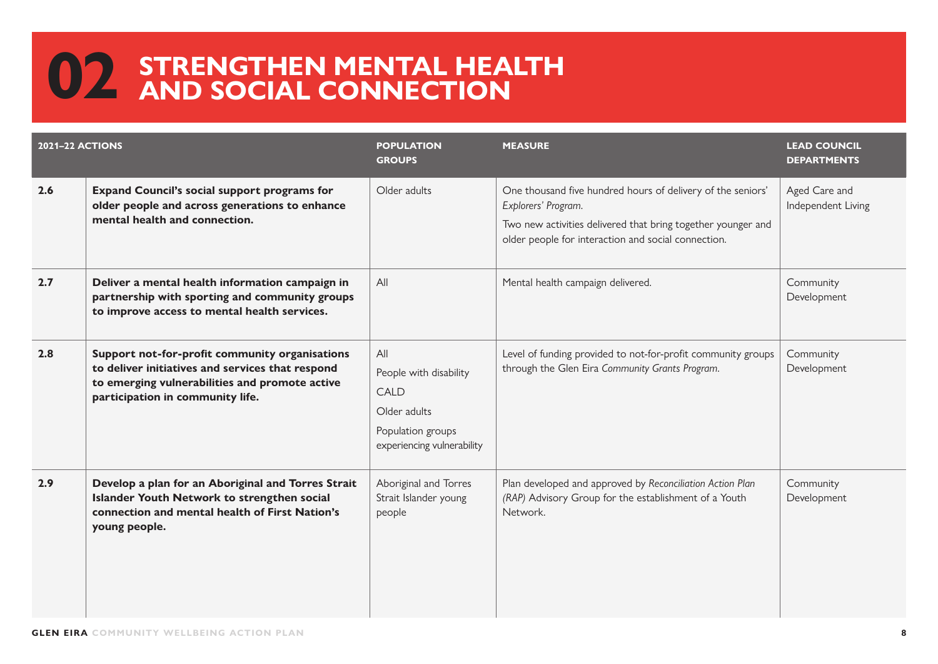| <b>2021-22 ACTIONS</b> |                                                                                                                                                                                          | <b>POPULATION</b><br><b>GROUPS</b>                                                                       | <b>MEASURE</b>                                                                                                                                                                                            | <b>LEAD COUNCIL</b><br><b>DEPARTMENTS</b> |
|------------------------|------------------------------------------------------------------------------------------------------------------------------------------------------------------------------------------|----------------------------------------------------------------------------------------------------------|-----------------------------------------------------------------------------------------------------------------------------------------------------------------------------------------------------------|-------------------------------------------|
| 2.6                    | <b>Expand Council's social support programs for</b><br>older people and across generations to enhance<br>mental health and connection.                                                   | Older adults                                                                                             | One thousand five hundred hours of delivery of the seniors'<br>Explorers' Program.<br>Two new activities delivered that bring together younger and<br>older people for interaction and social connection. | Aged Care and<br>Independent Living       |
| 2.7                    | Deliver a mental health information campaign in<br>partnership with sporting and community groups<br>to improve access to mental health services.                                        | All                                                                                                      | Mental health campaign delivered.                                                                                                                                                                         | Community<br>Development                  |
| 2.8                    | Support not-for-profit community organisations<br>to deliver initiatives and services that respond<br>to emerging vulnerabilities and promote active<br>participation in community life. | All<br>People with disability<br>CALD<br>Older adults<br>Population groups<br>experiencing vulnerability | Level of funding provided to not-for-profit community groups<br>through the Glen Eira Community Grants Program.                                                                                           | Community<br>Development                  |
| 2.9                    | Develop a plan for an Aboriginal and Torres Strait<br>Islander Youth Network to strengthen social<br>connection and mental health of First Nation's<br>young people.                     | Aboriginal and Torres<br>Strait Islander young<br>people                                                 | Plan developed and approved by Reconciliation Action Plan<br>(RAP) Advisory Group for the establishment of a Youth<br>Network.                                                                            | Community<br>Development                  |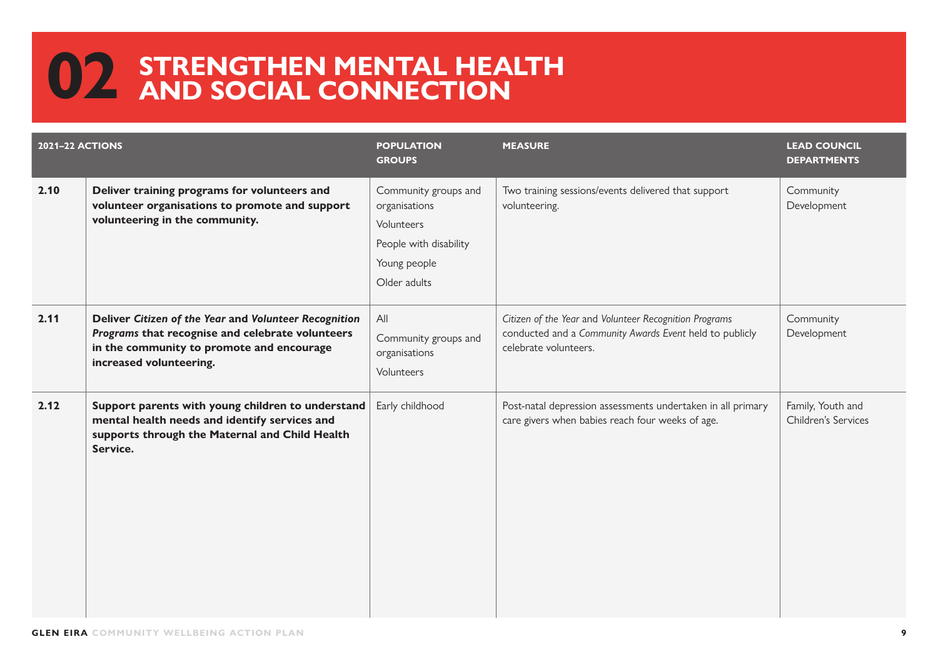| <b>2021-22 ACTIONS</b> |                                                                                                                                                                                   | <b>POPULATION</b><br><b>GROUPS</b>                                                                            | <b>MEASURE</b>                                                                                                                             | <b>LEAD COUNCIL</b><br><b>DEPARTMENTS</b> |
|------------------------|-----------------------------------------------------------------------------------------------------------------------------------------------------------------------------------|---------------------------------------------------------------------------------------------------------------|--------------------------------------------------------------------------------------------------------------------------------------------|-------------------------------------------|
| 2.10                   | Deliver training programs for volunteers and<br>volunteer organisations to promote and support<br>volunteering in the community.                                                  | Community groups and<br>organisations<br>Volunteers<br>People with disability<br>Young people<br>Older adults | Two training sessions/events delivered that support<br>volunteering.                                                                       | Community<br>Development                  |
| 2.11                   | Deliver Citizen of the Year and Volunteer Recognition<br>Programs that recognise and celebrate volunteers<br>in the community to promote and encourage<br>increased volunteering. | All<br>Community groups and<br>organisations<br>Volunteers                                                    | Citizen of the Year and Volunteer Recognition Programs<br>conducted and a Community Awards Event held to publicly<br>celebrate volunteers. | Community<br>Development                  |
| 2.12                   | Support parents with young children to understand<br>mental health needs and identify services and<br>supports through the Maternal and Child Health<br>Service.                  | Early childhood                                                                                               | Post-natal depression assessments undertaken in all primary<br>care givers when babies reach four weeks of age.                            | Family, Youth and<br>Children's Services  |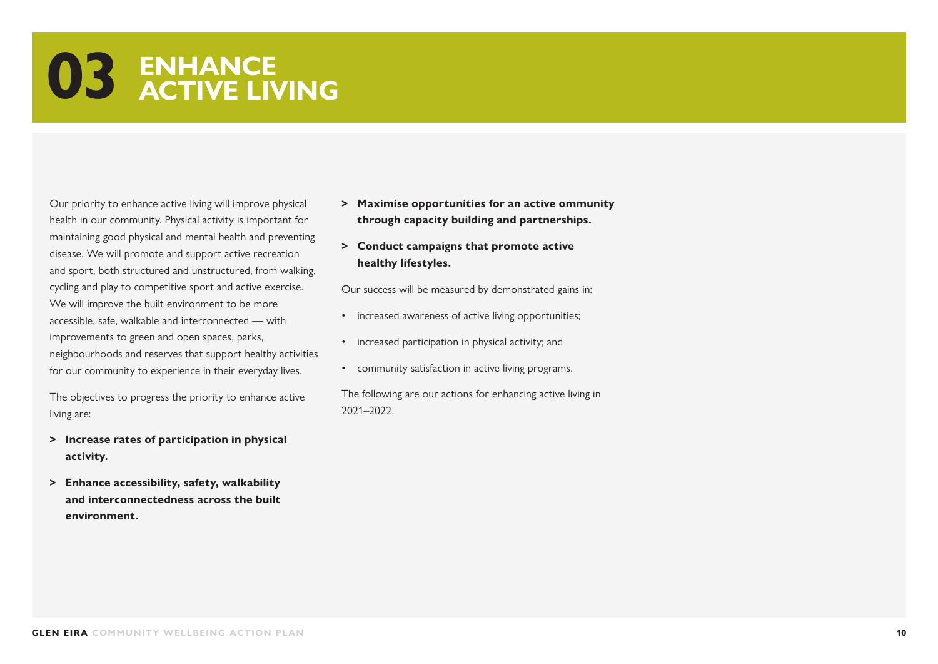### **03 ENHANCE ACTIVE LIVING**

Our priority to enhance active living will improve physical health in our community. Physical activity is important for maintaining good physical and mental health and preventing disease. We will promote and support active recreation and sport, both structured and unstructured, from walking, cycling and play to competitive sport and active exercise. We will improve the built environment to be more accessible, safe, walkable and interconnected — with improvements to green and open spaces, parks, neighbourhoods and reserves that support healthy activities for our community to experience in their everyday lives.

The objectives to progress the priority to enhance active living are:

- **> Increase rates of participation in physical activity.**
- **> Enhance accessibility, safety, walkability and interconnectedness across the built environment.**
- **> Maximise opportunities for an active ommunity through capacity building and partnerships.**
- **> Conduct campaigns that promote active healthy lifestyles.**

Our success will be measured by demonstrated gains in:

- increased awareness of active living opportunities;
- increased participation in physical activity; and
- community satisfaction in active living programs.

The following are our actions for enhancing active living in 2021–2022.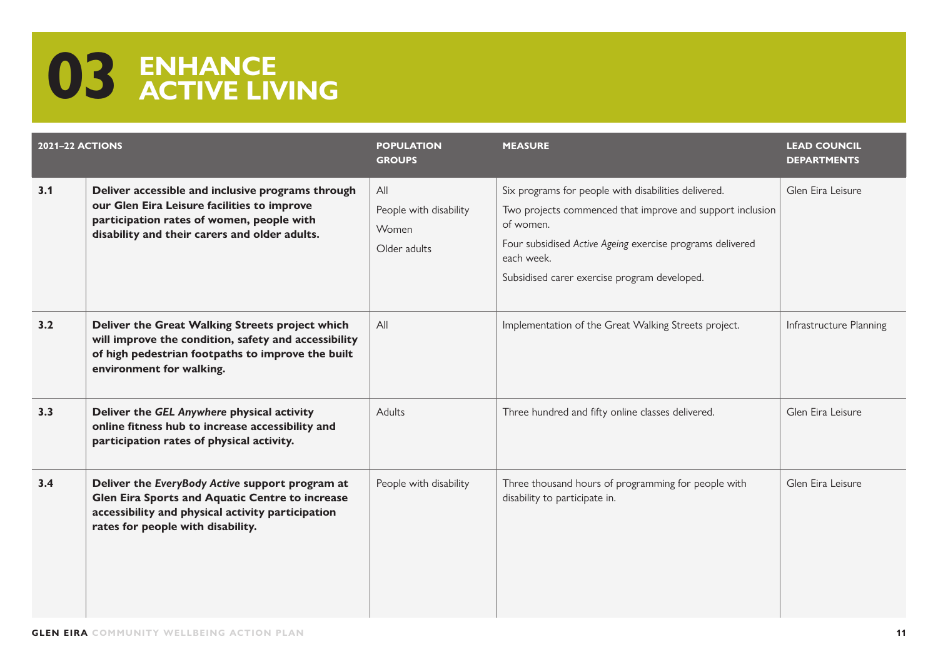# **03 ENHANCE ACTIVE LIVING**

| <b>2021-22 ACTIONS</b> |                                                                                                                                                                                                | <b>POPULATION</b><br><b>GROUPS</b>                     | <b>MEASURE</b>                                                                                                                                                                                                                                            | <b>LEAD COUNCIL</b><br><b>DEPARTMENTS</b> |
|------------------------|------------------------------------------------------------------------------------------------------------------------------------------------------------------------------------------------|--------------------------------------------------------|-----------------------------------------------------------------------------------------------------------------------------------------------------------------------------------------------------------------------------------------------------------|-------------------------------------------|
| 3.1                    | Deliver accessible and inclusive programs through<br>our Glen Eira Leisure facilities to improve<br>participation rates of women, people with<br>disability and their carers and older adults. | All<br>People with disability<br>Women<br>Older adults | Six programs for people with disabilities delivered.<br>Two projects commenced that improve and support inclusion<br>of women.<br>Four subsidised Active Ageing exercise programs delivered<br>each week.<br>Subsidised carer exercise program developed. | Glen Eira Leisure                         |
| 3.2                    | Deliver the Great Walking Streets project which<br>will improve the condition, safety and accessibility<br>of high pedestrian footpaths to improve the built<br>environment for walking.       | All                                                    | Implementation of the Great Walking Streets project.                                                                                                                                                                                                      | Infrastructure Planning                   |
| 3.3                    | Deliver the GEL Anywhere physical activity<br>online fitness hub to increase accessibility and<br>participation rates of physical activity.                                                    | <b>Adults</b>                                          | Three hundred and fifty online classes delivered.                                                                                                                                                                                                         | Glen Eira Leisure                         |
| 3.4                    | Deliver the EveryBody Active support program at<br>Glen Eira Sports and Aquatic Centre to increase<br>accessibility and physical activity participation<br>rates for people with disability.   | People with disability                                 | Three thousand hours of programming for people with<br>disability to participate in.                                                                                                                                                                      | Glen Fira Leisure                         |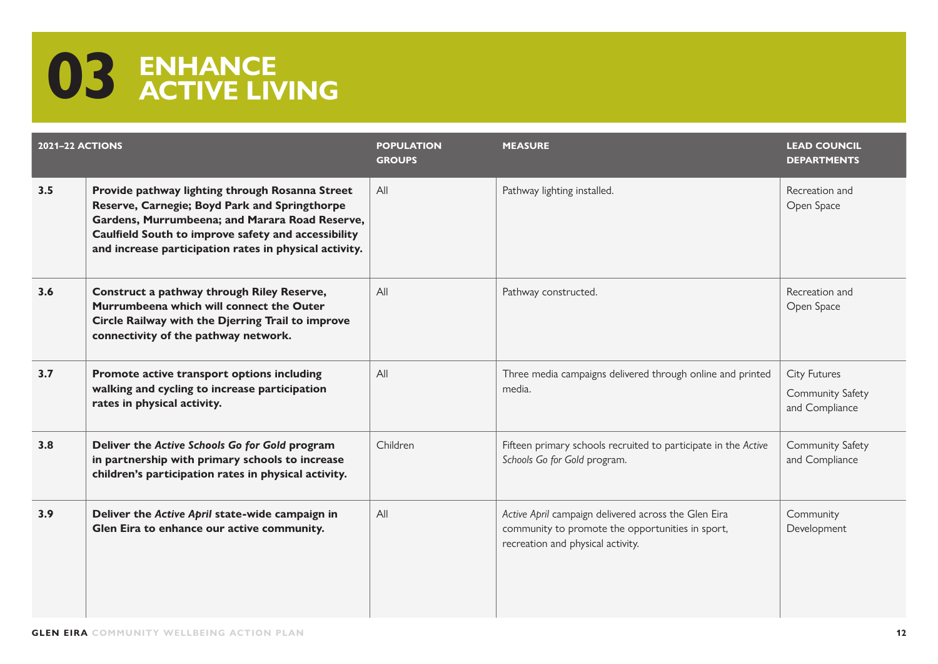# **03 ENHANCE ACTIVE LIVING**

| <b>2021-22 ACTIONS</b> |                                                                                                                                                                                                                                                                     | <b>POPULATION</b><br><b>GROUPS</b> | <b>MEASURE</b>                                                                                                                                | <b>LEAD COUNCIL</b><br><b>DEPARTMENTS</b>          |
|------------------------|---------------------------------------------------------------------------------------------------------------------------------------------------------------------------------------------------------------------------------------------------------------------|------------------------------------|-----------------------------------------------------------------------------------------------------------------------------------------------|----------------------------------------------------|
| 3.5                    | Provide pathway lighting through Rosanna Street<br>Reserve, Carnegie; Boyd Park and Springthorpe<br>Gardens, Murrumbeena; and Marara Road Reserve,<br>Caulfield South to improve safety and accessibility<br>and increase participation rates in physical activity. | All                                | Pathway lighting installed.                                                                                                                   | Recreation and<br>Open Space                       |
| 3.6                    | Construct a pathway through Riley Reserve,<br>Murrumbeena which will connect the Outer<br>Circle Railway with the Djerring Trail to improve<br>connectivity of the pathway network.                                                                                 | All                                | Pathway constructed.                                                                                                                          | Recreation and<br>Open Space                       |
| 3.7                    | Promote active transport options including<br>walking and cycling to increase participation<br>rates in physical activity.                                                                                                                                          | All                                | Three media campaigns delivered through online and printed<br>media.                                                                          | City Futures<br>Community Safety<br>and Compliance |
| 3.8                    | Deliver the Active Schools Go for Gold program<br>in partnership with primary schools to increase<br>children's participation rates in physical activity.                                                                                                           | Children                           | Fifteen primary schools recruited to participate in the Active<br>Schools Go for Gold program.                                                | Community Safety<br>and Compliance                 |
| 3.9                    | Deliver the Active April state-wide campaign in<br>Glen Eira to enhance our active community.                                                                                                                                                                       | All                                | Active April campaign delivered across the Glen Eira<br>community to promote the opportunities in sport,<br>recreation and physical activity. | Community<br>Development                           |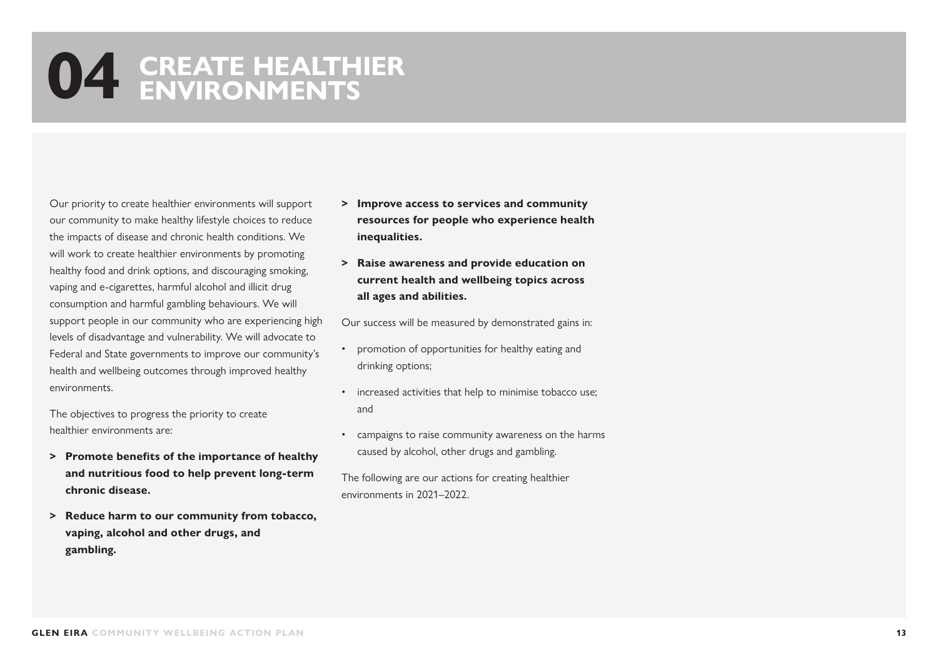#### **04 CREATE HEALTHIER ENVIRONMENTS**

Our priority to create healthier environments will support our community to make healthy lifestyle choices to reduce the impacts of disease and chronic health conditions. We will work to create healthier environments by promoting healthy food and drink options, and discouraging smoking, vaping and e-cigarettes, harmful alcohol and illicit drug consumption and harmful gambling behaviours. We will support people in our community who are experiencing high levels of disadvantage and vulnerability. We will advocate to Federal and State governments to improve our community's health and wellbeing outcomes through improved healthy environments.

The objectives to progress the priority to create healthier environments are:

- **> Promote benefits of the importance of healthy and nutritious food to help prevent long-term chronic disease.**
- **> Reduce harm to our community from tobacco, vaping, alcohol and other drugs, and gambling.**
- **> Improve access to services and community resources for people who experience health inequalities.**
- **> Raise awareness and provide education on current health and wellbeing topics across all ages and abilities.**

Our success will be measured by demonstrated gains in:

- promotion of opportunities for healthy eating and drinking options;
- increased activities that help to minimise tobacco use; and
- campaigns to raise community awareness on the harms caused by alcohol, other drugs and gambling.

The following are our actions for creating healthier environments in 2021–2022.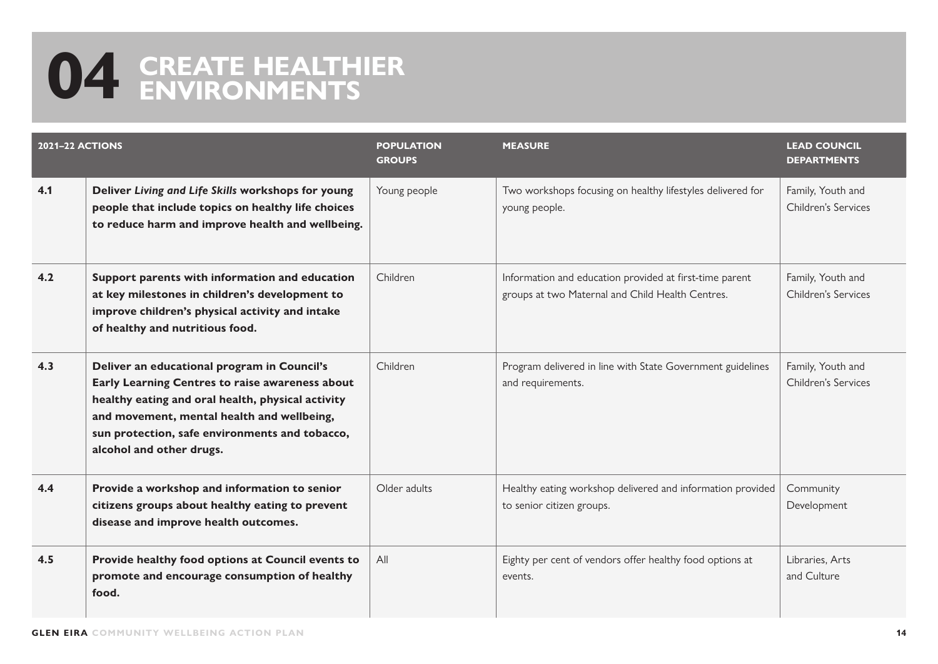### **04 CREATE HEALTHIER ENVIRONMENTS**

| <b>2021-22 ACTIONS</b> |                                                                                                                                                                                                                                                                                 | <b>POPULATION</b><br><b>GROUPS</b> | <b>MEASURE</b>                                                                                              | <b>LEAD COUNCIL</b><br><b>DEPARTMENTS</b> |
|------------------------|---------------------------------------------------------------------------------------------------------------------------------------------------------------------------------------------------------------------------------------------------------------------------------|------------------------------------|-------------------------------------------------------------------------------------------------------------|-------------------------------------------|
| 4.1                    | Deliver Living and Life Skills workshops for young<br>people that include topics on healthy life choices<br>to reduce harm and improve health and wellbeing.                                                                                                                    | Young people                       | Two workshops focusing on healthy lifestyles delivered for<br>young people.                                 | Family, Youth and<br>Children's Services  |
| 4.2                    | Support parents with information and education<br>at key milestones in children's development to<br>improve children's physical activity and intake<br>of healthy and nutritious food.                                                                                          | Children                           | Information and education provided at first-time parent<br>groups at two Maternal and Child Health Centres. | Family, Youth and<br>Children's Services  |
| 4.3                    | Deliver an educational program in Council's<br>Early Learning Centres to raise awareness about<br>healthy eating and oral health, physical activity<br>and movement, mental health and wellbeing,<br>sun protection, safe environments and tobacco,<br>alcohol and other drugs. | Children                           | Program delivered in line with State Government guidelines<br>and requirements.                             | Family, Youth and<br>Children's Services  |
| 4.4                    | Provide a workshop and information to senior<br>citizens groups about healthy eating to prevent<br>disease and improve health outcomes.                                                                                                                                         | Older adults                       | Healthy eating workshop delivered and information provided<br>to senior citizen groups.                     | Community<br>Development                  |
| 4.5                    | Provide healthy food options at Council events to<br>promote and encourage consumption of healthy<br>food.                                                                                                                                                                      | All                                | Eighty per cent of vendors offer healthy food options at<br>events.                                         | Libraries, Arts<br>and Culture            |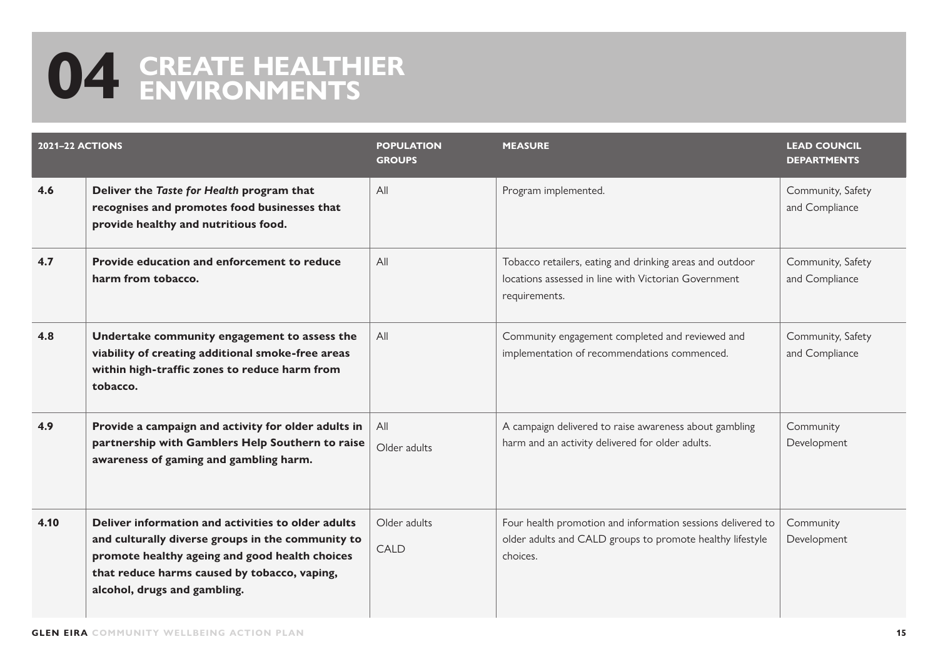### **04 CREATE HEALTHIER ENVIRONMENTS**

| <b>2021-22 ACTIONS</b> |                                                                                                                                                                                                                                           | <b>POPULATION</b><br><b>GROUPS</b> | <b>MEASURE</b>                                                                                                                       | <b>LEAD COUNCIL</b><br><b>DEPARTMENTS</b> |
|------------------------|-------------------------------------------------------------------------------------------------------------------------------------------------------------------------------------------------------------------------------------------|------------------------------------|--------------------------------------------------------------------------------------------------------------------------------------|-------------------------------------------|
| 4.6                    | Deliver the Taste for Health program that<br>recognises and promotes food businesses that<br>provide healthy and nutritious food.                                                                                                         | All                                | Program implemented.                                                                                                                 | Community, Safety<br>and Compliance       |
| 4.7                    | Provide education and enforcement to reduce<br>harm from tobacco.                                                                                                                                                                         | All                                | Tobacco retailers, eating and drinking areas and outdoor<br>locations assessed in line with Victorian Government<br>requirements.    | Community, Safety<br>and Compliance       |
| 4.8                    | Undertake community engagement to assess the<br>viability of creating additional smoke-free areas<br>within high-traffic zones to reduce harm from<br>tobacco.                                                                            | All                                | Community engagement completed and reviewed and<br>implementation of recommendations commenced.                                      | Community, Safety<br>and Compliance       |
| 4.9                    | Provide a campaign and activity for older adults in<br>partnership with Gamblers Help Southern to raise<br>awareness of gaming and gambling harm.                                                                                         | All<br>Older adults                | A campaign delivered to raise awareness about gambling<br>harm and an activity delivered for older adults.                           | Community<br>Development                  |
| 4.10                   | Deliver information and activities to older adults<br>and culturally diverse groups in the community to<br>promote healthy ageing and good health choices<br>that reduce harms caused by tobacco, vaping,<br>alcohol, drugs and gambling. | Older adults<br><b>CALD</b>        | Four health promotion and information sessions delivered to<br>older adults and CALD groups to promote healthy lifestyle<br>choices. | Community<br>Development                  |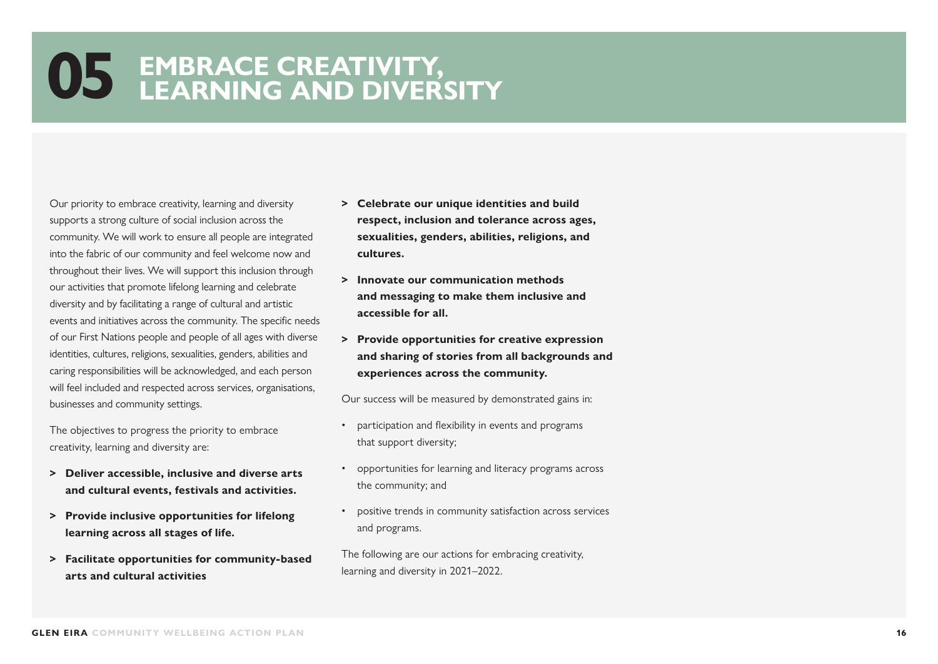Our priority to embrace creativity, learning and diversity supports a strong culture of social inclusion across the community. We will work to ensure all people are integrated into the fabric of our community and feel welcome now and throughout their lives. We will support this inclusion through our activities that promote lifelong learning and celebrate diversity and by facilitating a range of cultural and artistic events and initiatives across the community. The specific needs of our First Nations people and people of all ages with diverse identities, cultures, religions, sexualities, genders, abilities and caring responsibilities will be acknowledged, and each person will feel included and respected across services, organisations, businesses and community settings.

The objectives to progress the priority to embrace creativity, learning and diversity are:

- **> Deliver accessible, inclusive and diverse arts and cultural events, festivals and activities.**
- **> Provide inclusive opportunities for lifelong learning across all stages of life.**
- **> Facilitate opportunities for community-based arts and cultural activities**
- **> Celebrate our unique identities and build respect, inclusion and tolerance across ages, sexualities, genders, abilities, religions, and cultures.**
- **> Innovate our communication methods and messaging to make them inclusive and accessible for all.**
- **> Provide opportunities for creative expression and sharing of stories from all backgrounds and experiences across the community.**

Our success will be measured by demonstrated gains in:

- participation and flexibility in events and programs that support diversity;
- opportunities for learning and literacy programs across the community; and
- positive trends in community satisfaction across services and programs.

The following are our actions for embracing creativity, learning and diversity in 2021–2022.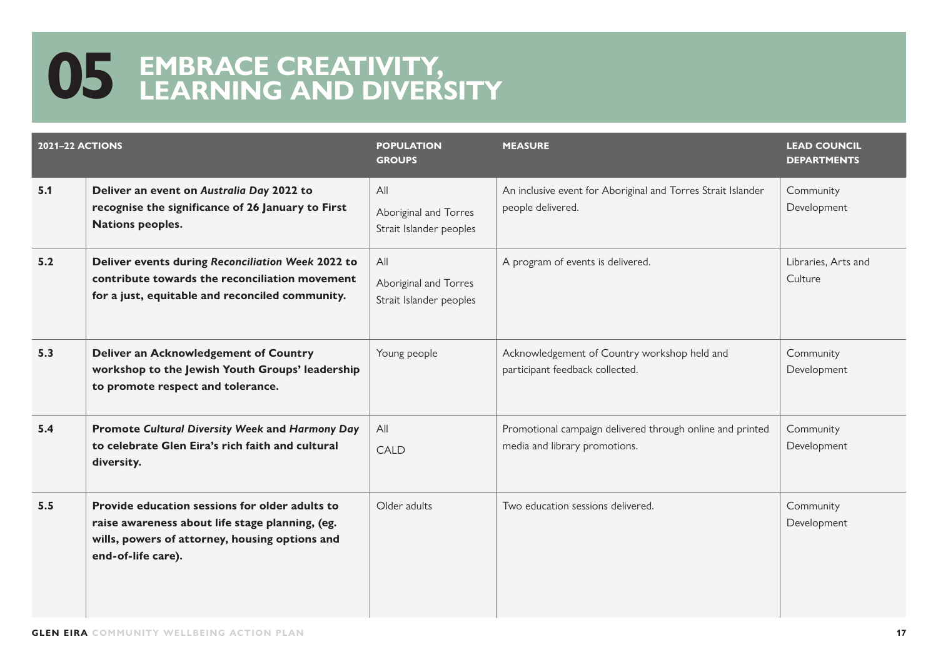| <b>2021-22 ACTIONS</b> |                                                                                                                                                                           | <b>POPULATION</b><br><b>GROUPS</b>                      | <b>MEASURE</b>                                                                             | <b>LEAD COUNCIL</b><br><b>DEPARTMENTS</b> |
|------------------------|---------------------------------------------------------------------------------------------------------------------------------------------------------------------------|---------------------------------------------------------|--------------------------------------------------------------------------------------------|-------------------------------------------|
| 5.1                    | Deliver an event on Australia Day 2022 to<br>recognise the significance of 26 January to First<br><b>Nations peoples.</b>                                                 | All<br>Aboriginal and Torres<br>Strait Islander peoples | An inclusive event for Aboriginal and Torres Strait Islander<br>people delivered.          | Community<br>Development                  |
| 5.2                    | Deliver events during Reconciliation Week 2022 to<br>contribute towards the reconciliation movement<br>for a just, equitable and reconciled community.                    | All<br>Aboriginal and Torres<br>Strait Islander peoples | A program of events is delivered.                                                          | Libraries, Arts and<br>Culture            |
| 5.3                    | <b>Deliver an Acknowledgement of Country</b><br>workshop to the Jewish Youth Groups' leadership<br>to promote respect and tolerance.                                      | Young people                                            | Acknowledgement of Country workshop held and<br>participant feedback collected.            | Community<br>Development                  |
| 5.4                    | <b>Promote Cultural Diversity Week and Harmony Day</b><br>to celebrate Glen Eira's rich faith and cultural<br>diversity.                                                  | All<br>CALD                                             | Promotional campaign delivered through online and printed<br>media and library promotions. | Community<br>Development                  |
| 5.5                    | Provide education sessions for older adults to<br>raise awareness about life stage planning, (eg.<br>wills, powers of attorney, housing options and<br>end-of-life care). | Older adults                                            | Two education sessions delivered.                                                          | Community<br>Development                  |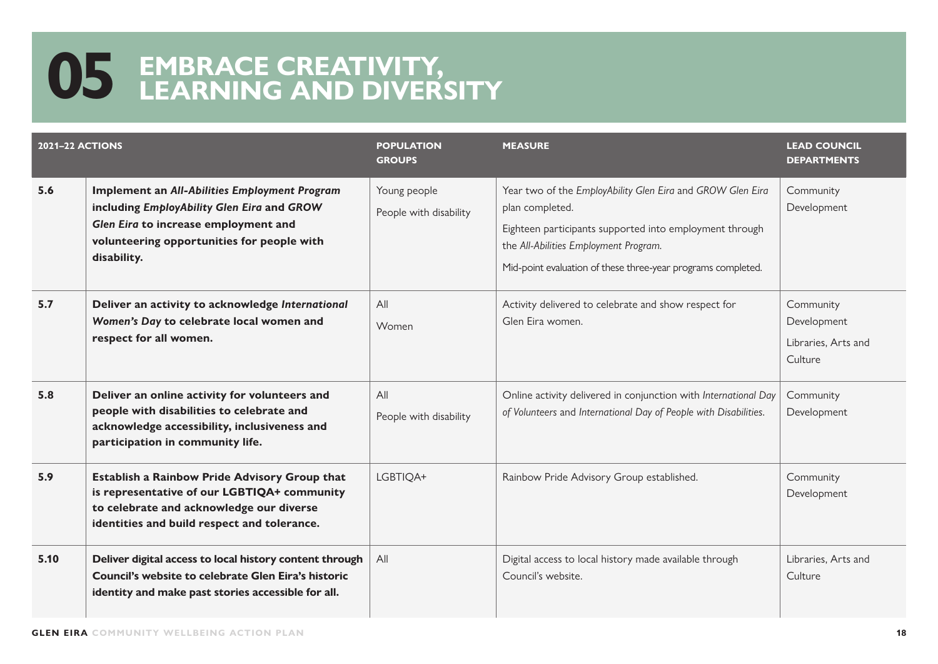| <b>2021-22 ACTIONS</b> |                                                                                                                                                                                                         | <b>POPULATION</b><br><b>GROUPS</b>     | <b>MEASURE</b>                                                                                                                                                                                                                                    | <b>LEAD COUNCIL</b><br><b>DEPARTMENTS</b>                  |
|------------------------|---------------------------------------------------------------------------------------------------------------------------------------------------------------------------------------------------------|----------------------------------------|---------------------------------------------------------------------------------------------------------------------------------------------------------------------------------------------------------------------------------------------------|------------------------------------------------------------|
| 5.6                    | <b>Implement an All-Abilities Employment Program</b><br>including EmployAbility Glen Eira and GROW<br>Glen Eira to increase employment and<br>volunteering opportunities for people with<br>disability. | Young people<br>People with disability | Year two of the EmployAbility Glen Eira and GROW Glen Eira<br>plan completed.<br>Eighteen participants supported into employment through<br>the All-Abilities Employment Program.<br>Mid-point evaluation of these three-year programs completed. | Community<br>Development                                   |
| 5.7                    | Deliver an activity to acknowledge International<br>Women's Day to celebrate local women and<br>respect for all women.                                                                                  | All<br>Women                           | Activity delivered to celebrate and show respect for<br>Glen Eira women.                                                                                                                                                                          | Community<br>Development<br>Libraries, Arts and<br>Culture |
| 5.8                    | Deliver an online activity for volunteers and<br>people with disabilities to celebrate and<br>acknowledge accessibility, inclusiveness and<br>participation in community life.                          | All<br>People with disability          | Online activity delivered in conjunction with International Day<br>of Volunteers and International Day of People with Disabilities.                                                                                                               | Community<br>Development                                   |
| 5.9                    | Establish a Rainbow Pride Advisory Group that<br>is representative of our LGBTIQA+ community<br>to celebrate and acknowledge our diverse<br>identities and build respect and tolerance.                 | LGBTIQA+                               | Rainbow Pride Advisory Group established.                                                                                                                                                                                                         | Community<br>Development                                   |
| 5.10                   | Deliver digital access to local history content through<br>Council's website to celebrate Glen Eira's historic<br>identity and make past stories accessible for all.                                    | All                                    | Digital access to local history made available through<br>Council's website.                                                                                                                                                                      | Libraries, Arts and<br>Culture                             |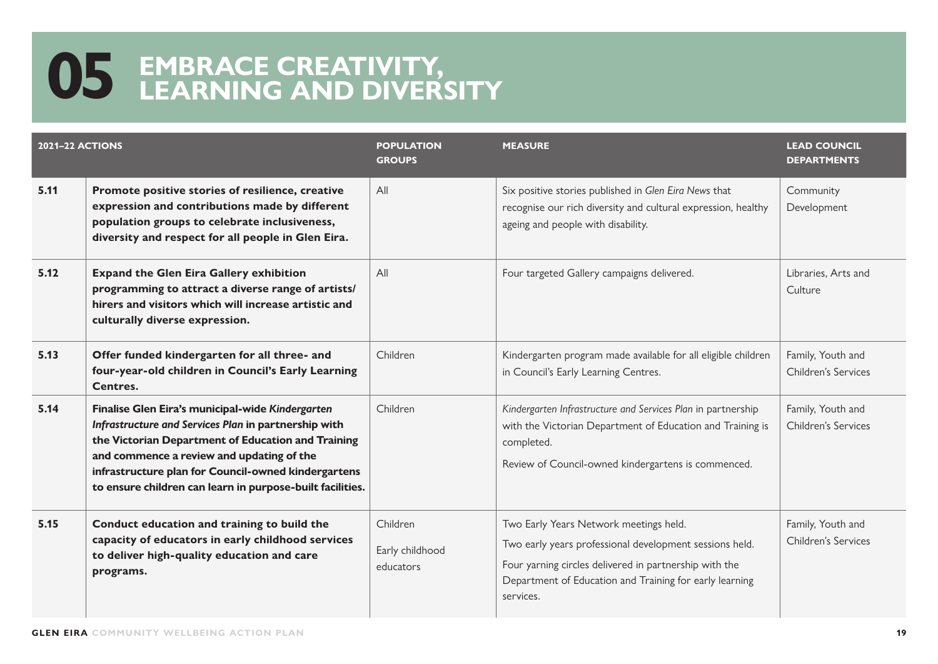| <b>2021-22 ACTIONS</b> |                                                                                                                                                                                                                                                                                                                                 | <b>POPULATION</b><br><b>GROUPS</b>       | <b>MEASURE</b>                                                                                                                                                                                                                      | <b>LEAD COUNCIL</b><br><b>DEPARTMENTS</b>       |
|------------------------|---------------------------------------------------------------------------------------------------------------------------------------------------------------------------------------------------------------------------------------------------------------------------------------------------------------------------------|------------------------------------------|-------------------------------------------------------------------------------------------------------------------------------------------------------------------------------------------------------------------------------------|-------------------------------------------------|
| 5.11                   | Promote positive stories of resilience, creative<br>expression and contributions made by different<br>population groups to celebrate inclusiveness,<br>diversity and respect for all people in Glen Eira.                                                                                                                       | All                                      | Six positive stories published in Glen Eira News that<br>recognise our rich diversity and cultural expression, healthy<br>ageing and people with disability.                                                                        | Community<br>Development                        |
| 5.12                   | <b>Expand the Glen Eira Gallery exhibition</b><br>programming to attract a diverse range of artists/<br>hirers and visitors which will increase artistic and<br>culturally diverse expression.                                                                                                                                  | All                                      | Four targeted Gallery campaigns delivered.                                                                                                                                                                                          | Libraries, Arts and<br>Culture                  |
| 5.13                   | Offer funded kindergarten for all three- and<br>four-year-old children in Council's Early Learning<br>Centres.                                                                                                                                                                                                                  | Children                                 | Kindergarten program made available for all eligible children<br>in Council's Early Learning Centres.                                                                                                                               | Family, Youth and<br>Children's Services        |
| 5.14                   | Finalise Glen Eira's municipal-wide Kindergarten<br>Infrastructure and Services Plan in partnership with<br>the Victorian Department of Education and Training<br>and commence a review and updating of the<br>infrastructure plan for Council-owned kindergartens<br>to ensure children can learn in purpose-built facilities. | Children                                 | Kindergarten Infrastructure and Services Plan in partnership<br>with the Victorian Department of Education and Training is<br>completed.<br>Review of Council-owned kindergartens is commenced.                                     | Family, Youth and<br>Children's Services        |
| 5.15                   | Conduct education and training to build the<br>capacity of educators in early childhood services<br>to deliver high-quality education and care<br>programs.                                                                                                                                                                     | Children<br>Early childhood<br>educators | Two Early Years Network meetings held.<br>Two early years professional development sessions held.<br>Four yarning circles delivered in partnership with the<br>Department of Education and Training for early learning<br>services. | Family, Youth and<br><b>Children's Services</b> |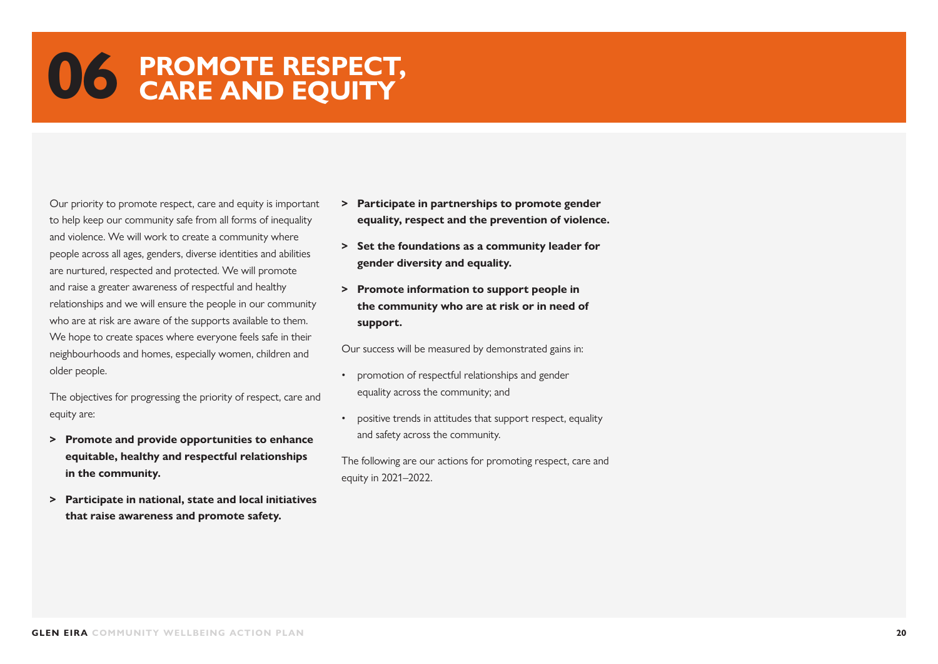#### **06 PROMOTE RESPECT, CARE AND EQUITY**

Our priority to promote respect, care and equity is important to help keep our community safe from all forms of inequality and violence. We will work to create a community where people across all ages, genders, diverse identities and abilities are nurtured, respected and protected. We will promote and raise a greater awareness of respectful and healthy relationships and we will ensure the people in our community who are at risk are aware of the supports available to them. We hope to create spaces where everyone feels safe in their neighbourhoods and homes, especially women, children and older people.

The objectives for progressing the priority of respect, care and equity are:

- **> Promote and provide opportunities to enhance equitable, healthy and respectful relationships in the community.**
- **> Participate in national, state and local initiatives that raise awareness and promote safety.**
- **> Participate in partnerships to promote gender equality, respect and the prevention of violence.**
- **> Set the foundations as a community leader for gender diversity and equality.**
- **> Promote information to support people in the community who are at risk or in need of support.**

Our success will be measured by demonstrated gains in:

- promotion of respectful relationships and gender equality across the community; and
- positive trends in attitudes that support respect, equality and safety across the community.

The following are our actions for promoting respect, care and equity in 2021–2022.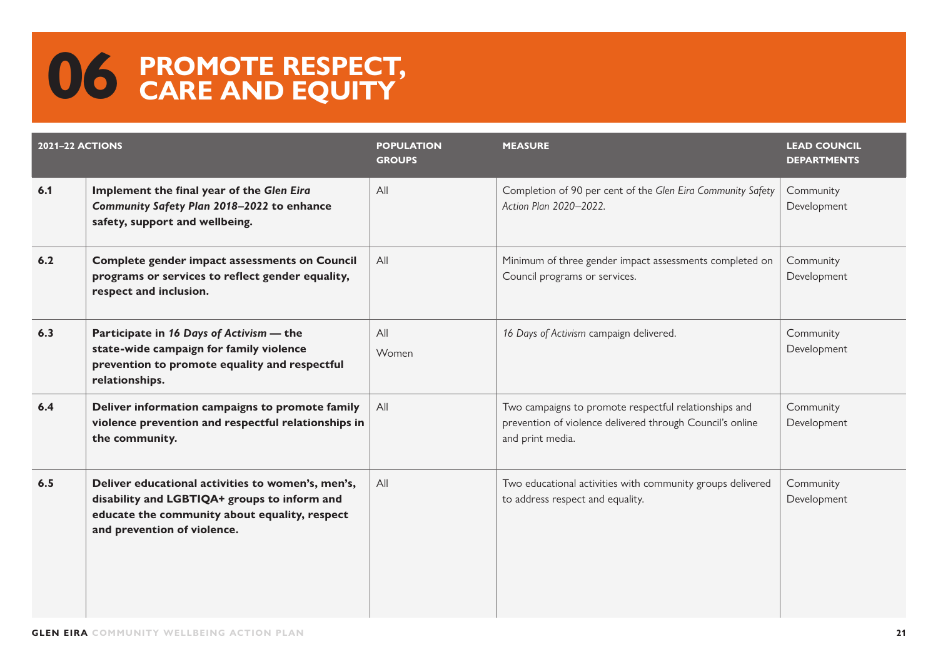#### **06 PROMOTE RESPECT, CARE AND EQUITY**

| <b>2021-22 ACTIONS</b> |                                                                                                                                                                                   | <b>POPULATION</b><br><b>GROUPS</b> | <b>MEASURE</b>                                                                                                                         | <b>LEAD COUNCIL</b><br><b>DEPARTMENTS</b> |
|------------------------|-----------------------------------------------------------------------------------------------------------------------------------------------------------------------------------|------------------------------------|----------------------------------------------------------------------------------------------------------------------------------------|-------------------------------------------|
| 6.1                    | Implement the final year of the Glen Eira<br>Community Safety Plan 2018-2022 to enhance<br>safety, support and wellbeing.                                                         | All                                | Completion of 90 per cent of the Glen Eira Community Safety<br>Action Plan 2020-2022.                                                  | Community<br>Development                  |
| 6.2                    | <b>Complete gender impact assessments on Council</b><br>programs or services to reflect gender equality,<br>respect and inclusion.                                                | All                                | Minimum of three gender impact assessments completed on<br>Council programs or services.                                               | Community<br>Development                  |
| 6.3                    | Participate in 16 Days of Activism - the<br>state-wide campaign for family violence<br>prevention to promote equality and respectful<br>relationships.                            | All<br>Women                       | 16 Days of Activism campaign delivered.                                                                                                | Community<br>Development                  |
| 6.4                    | Deliver information campaigns to promote family<br>violence prevention and respectful relationships in<br>the community.                                                          | All                                | Two campaigns to promote respectful relationships and<br>prevention of violence delivered through Council's online<br>and print media. | Community<br>Development                  |
| 6.5                    | Deliver educational activities to women's, men's,<br>disability and LGBTIQA+ groups to inform and<br>educate the community about equality, respect<br>and prevention of violence. | All                                | Two educational activities with community groups delivered<br>to address respect and equality.                                         | Community<br>Development                  |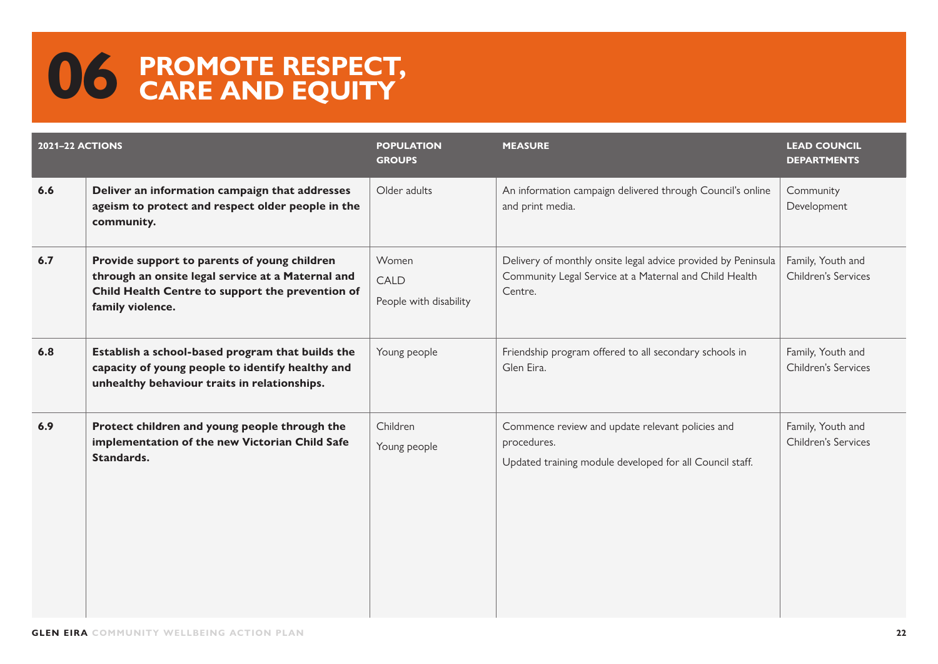#### **06 PROMOTE RESPECT, CARE AND EQUITY**

| <b>2021-22 ACTIONS</b> |                                                                                                                                                                           | <b>POPULATION</b><br><b>GROUPS</b>             | <b>MEASURE</b>                                                                                                                     | <b>LEAD COUNCIL</b><br><b>DEPARTMENTS</b> |
|------------------------|---------------------------------------------------------------------------------------------------------------------------------------------------------------------------|------------------------------------------------|------------------------------------------------------------------------------------------------------------------------------------|-------------------------------------------|
| 6.6                    | Deliver an information campaign that addresses<br>ageism to protect and respect older people in the<br>community.                                                         | Older adults                                   | An information campaign delivered through Council's online<br>and print media.                                                     | Community<br>Development                  |
| 6.7                    | Provide support to parents of young children<br>through an onsite legal service at a Maternal and<br>Child Health Centre to support the prevention of<br>family violence. | Women<br><b>CALD</b><br>People with disability | Delivery of monthly onsite legal advice provided by Peninsula<br>Community Legal Service at a Maternal and Child Health<br>Centre. | Family, Youth and<br>Children's Services  |
| 6.8                    | Establish a school-based program that builds the<br>capacity of young people to identify healthy and<br>unhealthy behaviour traits in relationships.                      | Young people                                   | Friendship program offered to all secondary schools in<br>Glen Eira.                                                               | Family, Youth and<br>Children's Services  |
| 6.9                    | Protect children and young people through the<br>implementation of the new Victorian Child Safe<br>Standards.                                                             | Children<br>Young people                       | Commence review and update relevant policies and<br>procedures.<br>Updated training module developed for all Council staff.        | Family, Youth and<br>Children's Services  |